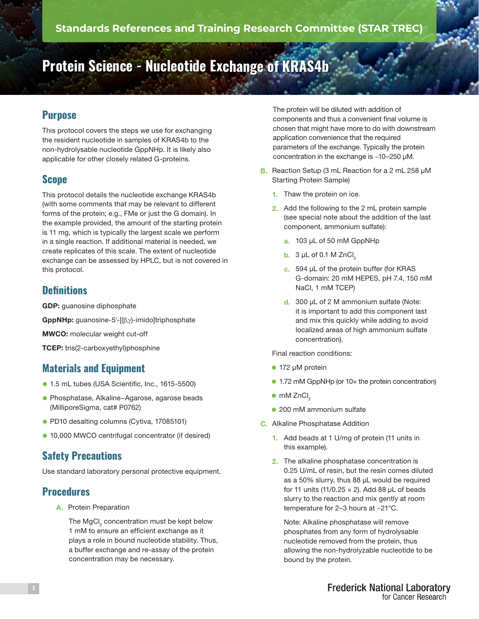# **Protein Science - Nucleotide Exchange of KRAS4b**

## **Purpose**

This protocol covers the steps we use for exchanging the resident nucleotide in samples of KRAS4b to the non-hydrolysable nucleotide GppNHp. It is likely also applicable for other closely related G-proteins.

## **Scope**

This protocol details the nucleotide exchange KRAS4b (with some comments that may be relevant to different forms of the protein; e.g., FMe or just the G domain). In the example provided, the amount of the starting protein is 11 mg, which is typically the largest scale we perform in a single reaction. If additional material is needed, we create replicates of this scale. The extent of nucleotide exchange can be assessed by HPLC, but is not covered in this protocol.

#### **Definitions**

GDP: guanosine diphosphate

GppNHp: guanosine-5′-[(β,γ)-imido]triphosphate

MWCO: molecular weight cut-off

TCEP: tris(2-carboxyethyl)phosphine

## **Materials and Equipment**

- 1.5 mL tubes (USA Scientific, Inc., 1615-5500)
- l Phosphatase, Alkaline−Agarose, agarose beads (MilliporeSigma, cat# P0762)
- PD10 desalting columns (Cytiva, 17085101)
- 10,000 MWCO centrifugal concentrator (if desired)

## **Safety Precautions**

Use standard laboratory personal protective equipment.

#### **Procedures**

A. Protein Preparation

The MgCl<sub>2</sub> concentration must be kept below 1 mM to ensure an efficient exchange as it plays a role in bound nucleotide stability. Thus, a buffer exchange and re-assay of the protein concentration may be necessary.

The protein will be diluted with addition of components and thus a convenient final volume is chosen that might have more to do with downstream application convenience that the required parameters of the exchange. Typically the protein concentration in the exchange is ~10–250 µM.

- B. Reaction Setup (3 mL Reaction for a 2 mL 258 µM Starting Protein Sample)
	- 1. Thaw the protein on ice.
	- 2. Add the following to the 2 mL protein sample (see special note about the addition of the last component, ammonium sulfate):
		- a. 103 µL of 50 mM GppNHp
		- $b. 3 \mu L$  of 0.1 M ZnCl<sub>2</sub>
		- c. 594 µL of the protein buffer (for KRAS G-domain: 20 mM HEPES, pH 7.4, 150 mM NaCl, 1 mM TCEP)
		- d. 300 µL of 2 M ammonium sulfate (Note: it is important to add this component last and mix this quickly while adding to avoid localized areas of high ammonium sulfate concentration).

Final reaction conditions:

- $\bullet$  172 µM protein
- 1.72 mM GppNHp (or 10× the protein concentration)
- $\bullet$  mM ZnCl<sub>2</sub>
- 200 mM ammonium sulfate
- C. Alkaline Phosphatase Addition
	- 1. Add beads at 1 U/mg of protein (11 units in this example).
	- 2. The alkaline phosphatase concentration is 0.25 U/mL of resin, but the resin comes diluted as a 50% slurry, thus 88 µL would be required for 11 units (11/0.25  $\times$  2). Add 88 µL of beads slurry to the reaction and mix gently at room temperature for 2–3 hours at ~21°C.

Note: Alkaline phosphatase will remove phosphates from any form of hydrolysable nucleotide removed from the protein, thus allowing the non-hydrolyzable nucleotide to be bound by the protein.